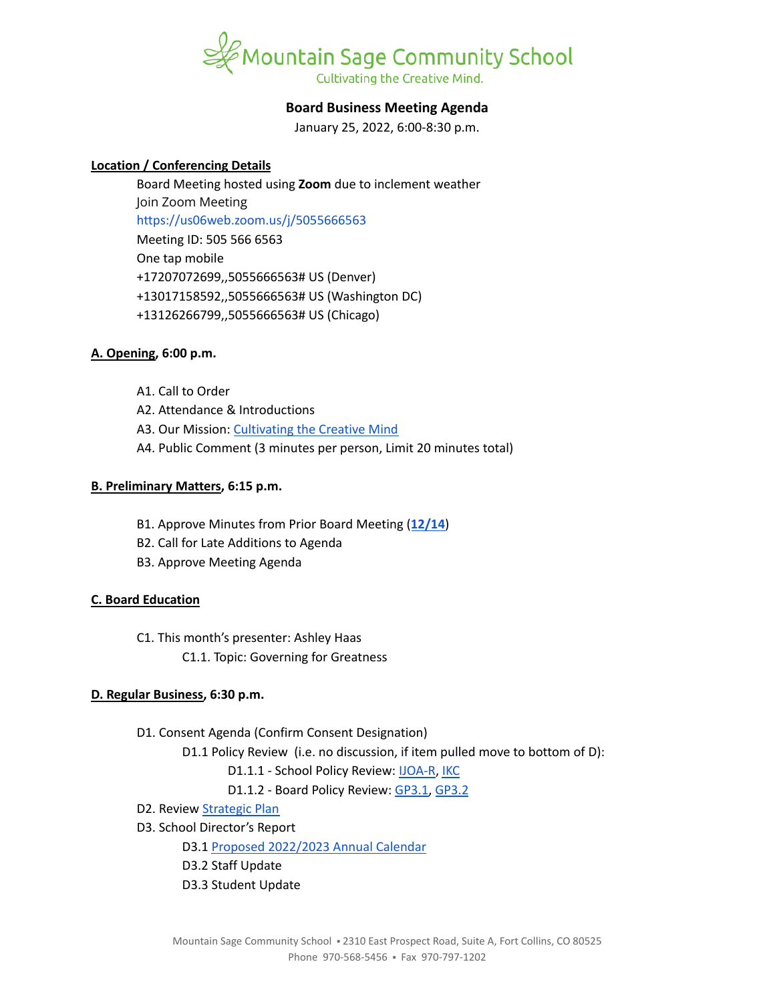

# **Board Business Meeting Agenda**

January 25, 2022, 6:00-8:30 p.m.

# **Location / Conferencing Details**

Board Meeting hosted using **Zoom** due to inclement weather Join Zoom Meeting <https://us06web.zoom.us/j/5055666563> Meeting ID: 505 566 6563 One tap mobile +17207072699,,5055666563# US (Denver) +13017158592,,5055666563# US (Washington DC) +13126266799,,5055666563# US (Chicago)

### **A. Opening, 6:00 p.m.**

- A1. Call to Order
- A2. Attendance & Introductions
- A3. Our Mission: [Cultivating](https://www.mountainsage.org/about-us/mission-and-vision/) the Creative Mind
- A4. Public Comment (3 minutes per person, Limit 20 minutes total)

### **B. Preliminary Matters, 6:15 p.m.**

- B1. Approve Minutes from Prior Board Meeting (**[12/14](https://docs.google.com/document/d/1J4hvTYmL8zBWpKR3uhSlNgjvIjLCB9Nx9U-0EYrkY6c/edit?usp=sharing)**)
- B2. Call for Late Additions to Agenda
- B3. Approve Meeting Agenda

# **C. Board Education**

- C1. This month's presenter: Ashley Haas
	- C1.1. Topic: Governing for Greatness

# **D. Regular Business, 6:30 p.m.**

D1. Consent Agenda (Confirm Consent Designation)

D1.1 Policy Review (i.e. no discussion, if item pulled move to bottom of D):

- D1.1.1 School Policy Review: [IJOA-R](https://drive.google.com/open?id=10D8cL9gSGsZ4qw0McfOHYMYGB72Y2tjHtReRjqjzPfw), [IKC](https://drive.google.com/open?id=1cgaogQY3tVvadtDpqK5bu3_PBjTILUTrKFvVYDPN50o)
- D1.1.2 Board Policy Review: [GP3.1,](https://docs.google.com/document/d/1NonFAZjQqrgk3QgqYytescPeinFAJlvsinSFU_gML5Q) [GP3.2](https://docs.google.com/document/d/1hnkmTRt9MDSaMV_ZQoyMefFZinry9VycskNaaV3UnGE)
- D2. Review **[Strategic](https://docs.google.com/spreadsheets/d/1RR7z4DQ0Oq8Z29iw-TRpzfxcoDyemB4IFJY4Hpq8Y_k/edit?usp=sharing) Plan**
- D3. School Director's Report

D3.1 Proposed [2022/2023](https://docs.google.com/document/d/1A7KkAOXlh2WYumlv9i1yIc1Um9UPIPK_SQUMCtYFYWM/edit?usp=sharing) Annual Calendar

- D3.2 Staff Update
- D3.3 Student Update